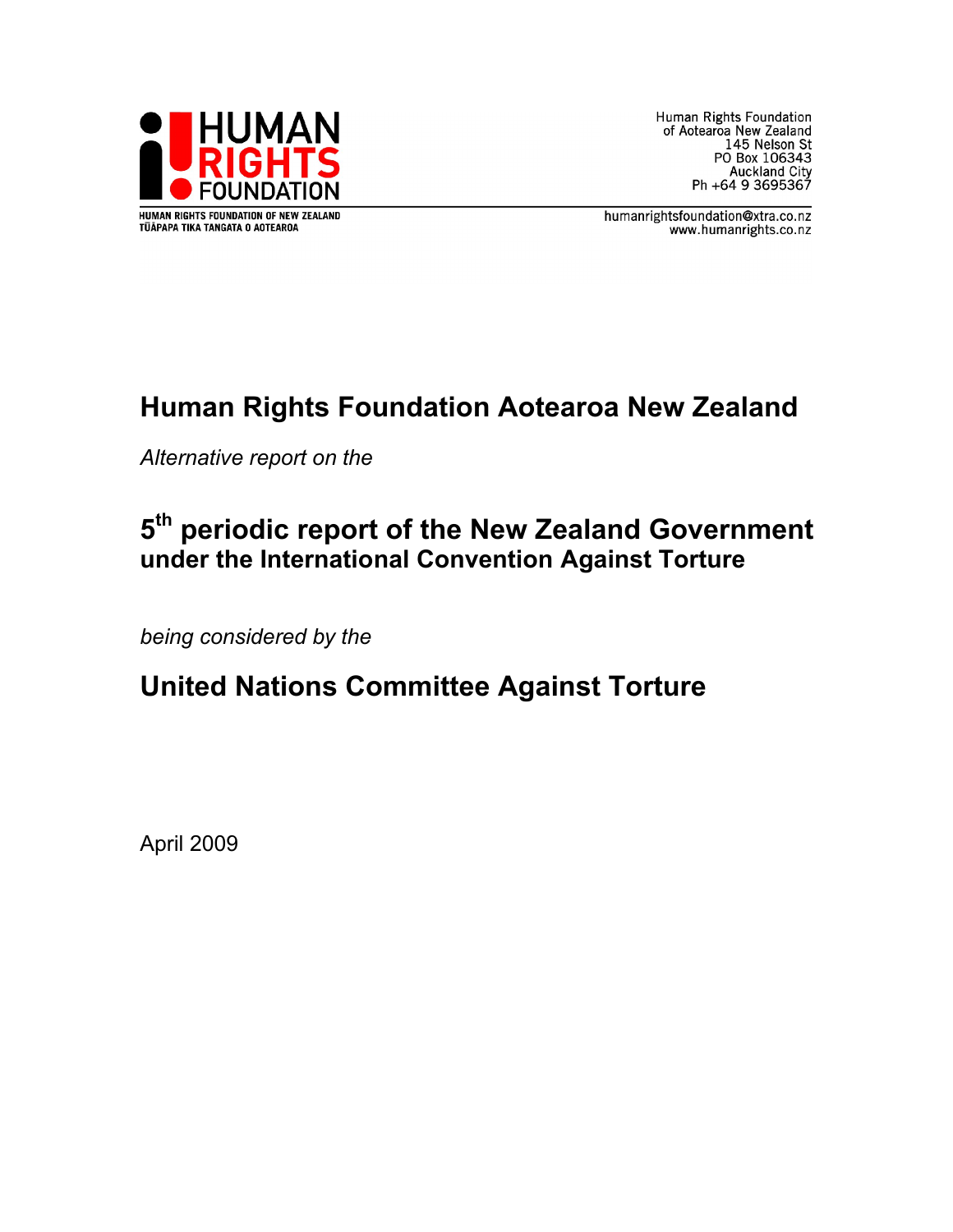

Human Rights Foundation of Aotearoa New Zealand 145 Nelson St PO Box 106343 Auckland City<br>Auckland City<br>Ph +64 9 3695367

humanrightsfoundation@xtra.co.nz www.humanrights.co.nz

# **Human Rights Foundation Aotearoa New Zealand**

*Alternative report on the*

# **5th periodic report of the New Zealand Government under the International Convention Against Torture**

*being considered by the*

# **United Nations Committee Against Torture**

April 2009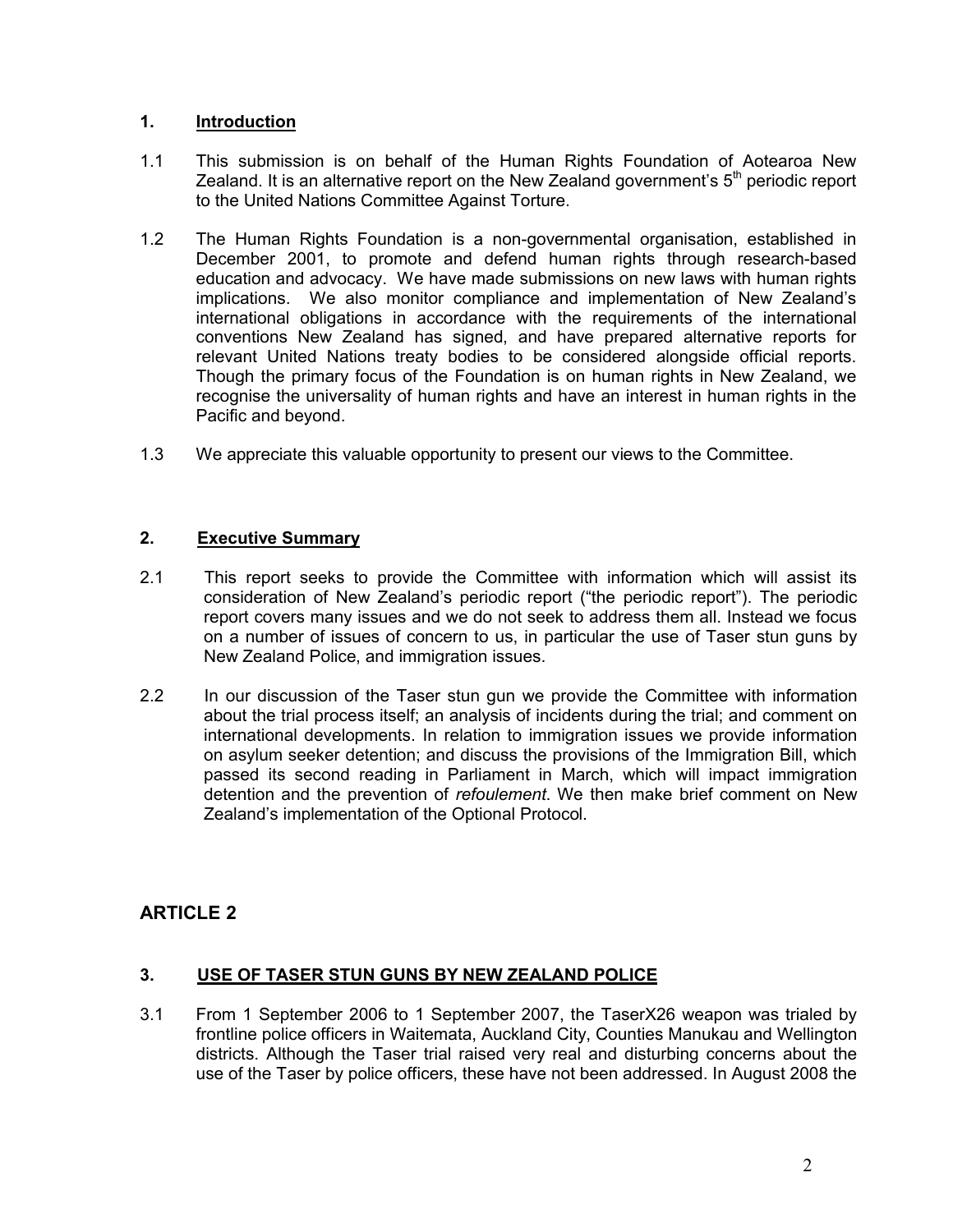### **1. Introduction**

- 1.1 This submission is on behalf of the Human Rights Foundation of Aotearoa New Zealand. It is an alternative report on the New Zealand government's  $5<sup>th</sup>$  periodic report to the United Nations Committee Against Torture.
- 1.2 The Human Rights Foundation is a non-governmental organisation, established in December 2001, to promote and defend human rights through research-based education and advocacy. We have made submissions on new laws with human rights implications. We also monitor compliance and implementation of New Zealand's international obligations in accordance with the requirements of the international conventions New Zealand has signed, and have prepared alternative reports for relevant United Nations treaty bodies to be considered alongside official reports. Though the primary focus of the Foundation is on human rights in New Zealand, we recognise the universality of human rights and have an interest in human rights in the Pacific and beyond.
- 1.3 We appreciate this valuable opportunity to present our views to the Committee.

## **2. Executive Summary**

- 2.1 This report seeks to provide the Committee with information which will assist its consideration of New Zealand's periodic report ("the periodic report"). The periodic report covers many issues and we do not seek to address them all. Instead we focus on a number of issues of concern to us, in particular the use of Taser stun guns by New Zealand Police, and immigration issues.
- 2.2 In our discussion of the Taser stun gun we provide the Committee with information about the trial process itself; an analysis of incidents during the trial; and comment on international developments. In relation to immigration issues we provide information on asylum seeker detention; and discuss the provisions of the Immigration Bill, which passed its second reading in Parliament in March, which will impact immigration detention and the prevention of *refoulement*. We then make brief comment on New Zealand's implementation of the Optional Protocol.

# **ARTICLE 2**

## **3. USE OF TASER STUN GUNS BY NEW ZEALAND POLICE**

3.1 From 1 September 2006 to 1 September 2007, the TaserX26 weapon was trialed by frontline police officers in Waitemata, Auckland City, Counties Manukau and Wellington districts. Although the Taser trial raised very real and disturbing concerns about the use of the Taser by police officers, these have not been addressed. In August 2008 the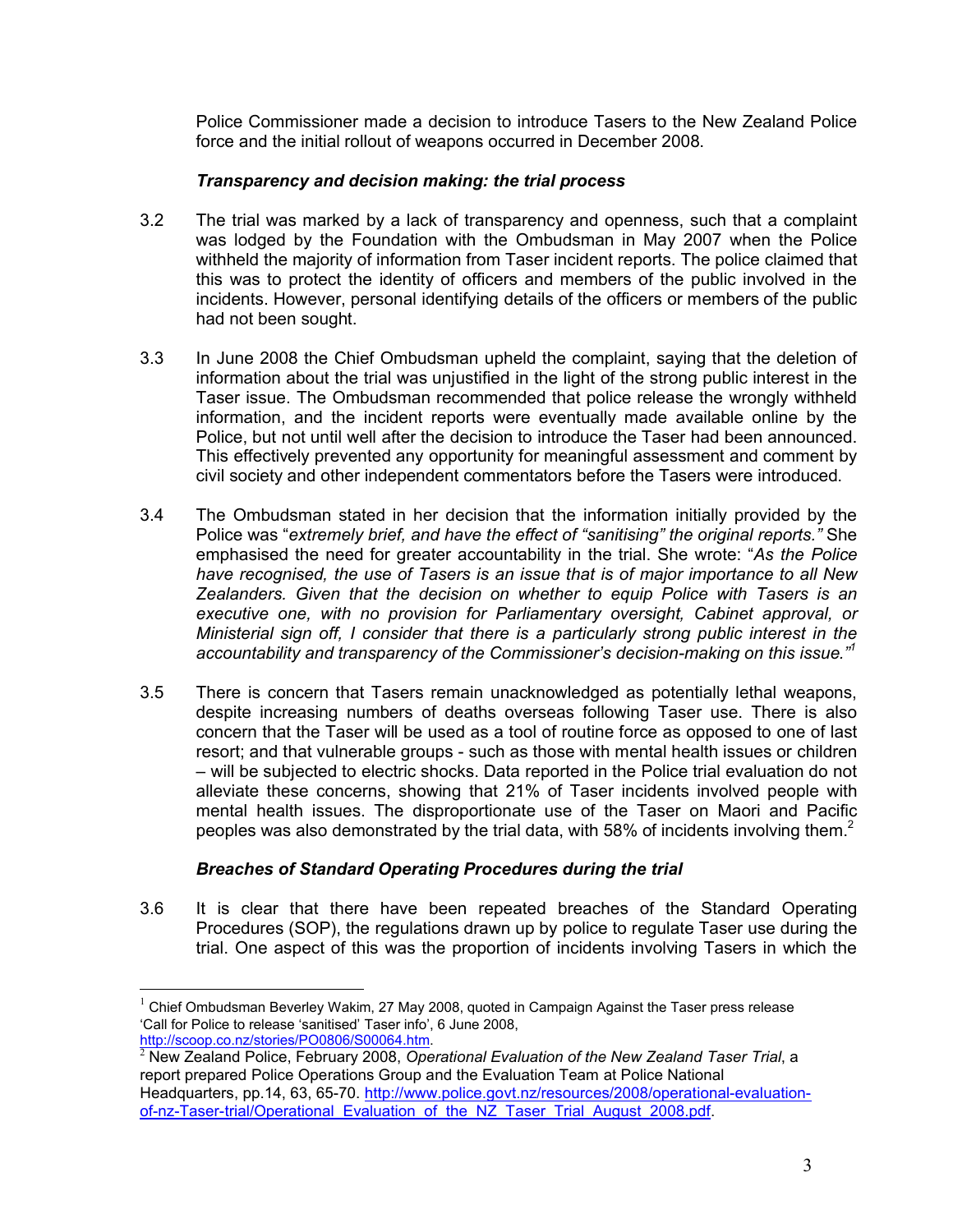Police Commissioner made a decision to introduce Tasers to the New Zealand Police force and the initial rollout of weapons occurred in December 2008.

#### *Transparency and decision making: the trial process*

- 3.2 The trial was marked by a lack of transparency and openness, such that a complaint was lodged by the Foundation with the Ombudsman in May 2007 when the Police withheld the majority of information from Taser incident reports. The police claimed that this was to protect the identity of officers and members of the public involved in the incidents. However, personal identifying details of the officers or members of the public had not been sought.
- 3.3 In June 2008 the Chief Ombudsman upheld the complaint, saying that the deletion of information about the trial was unjustified in the light of the strong public interest in the Taser issue. The Ombudsman recommended that police release the wrongly withheld information, and the incident reports were eventually made available online by the Police, but not until well after the decision to introduce the Taser had been announced. This effectively prevented any opportunity for meaningful assessment and comment by civil society and other independent commentators before the Tasers were introduced.
- 3.4 The Ombudsman stated in her decision that the information initially provided by the Police was "*extremely brief, and have the effect of "sanitising" the original reports."* She emphasised the need for greater accountability in the trial. She wrote: "*As the Police have recognised, the use of Tasers is an issue that is of major importance to all New Zealanders. Given that the decision on whether to equip Police with Tasers is an executive one, with no provision for Parliamentary oversight, Cabinet approval, or Ministerial sign off, I consider that there is a particularly strong public interest in the accountability and transparency of the Commissioner's decision-making on this issue."1*
- 3.5 There is concern that Tasers remain unacknowledged as potentially lethal weapons, despite increasing numbers of deaths overseas following Taser use. There is also concern that the Taser will be used as a tool of routine force as opposed to one of last resort; and that vulnerable groups - such as those with mental health issues or children – will be subjected to electric shocks. Data reported in the Police trial evaluation do not alleviate these concerns, showing that 21% of Taser incidents involved people with mental health issues. The disproportionate use of the Taser on Maori and Pacific peoples was also demonstrated by the trial data, with 58% of incidents involving them.<sup>2</sup>

#### *Breaches of Standard Operating Procedures during the trial*

3.6 It is clear that there have been repeated breaches of the Standard Operating Procedures (SOP), the regulations drawn up by police to regulate Taser use during the trial. One aspect of this was the proportion of incidents involving Tasers in which the

 $1$  Chief Ombudsman Beverley Wakim, 27 May 2008, quoted in Campaign Against the Taser press release 'Call for Police to release 'sanitised' Taser info', 6 June 2008,<br>http://scoop.co.nz/stories/PO0806/S00064.htm.

 $^2$  New Zealand Police, February 2008, Operational Evaluation of the New Zealand Taser Trial, a report prepared Police Operations Group and the Evaluation Team at Police National Headquarters, pp.14, 63, 65-70. http://www.police.govt.nz/resources/2008/operational-evaluation-

of-nz-Taser-trial/Operational\_Evaluation\_of\_the\_NZ\_Taser\_Trial\_August\_2008.pdf.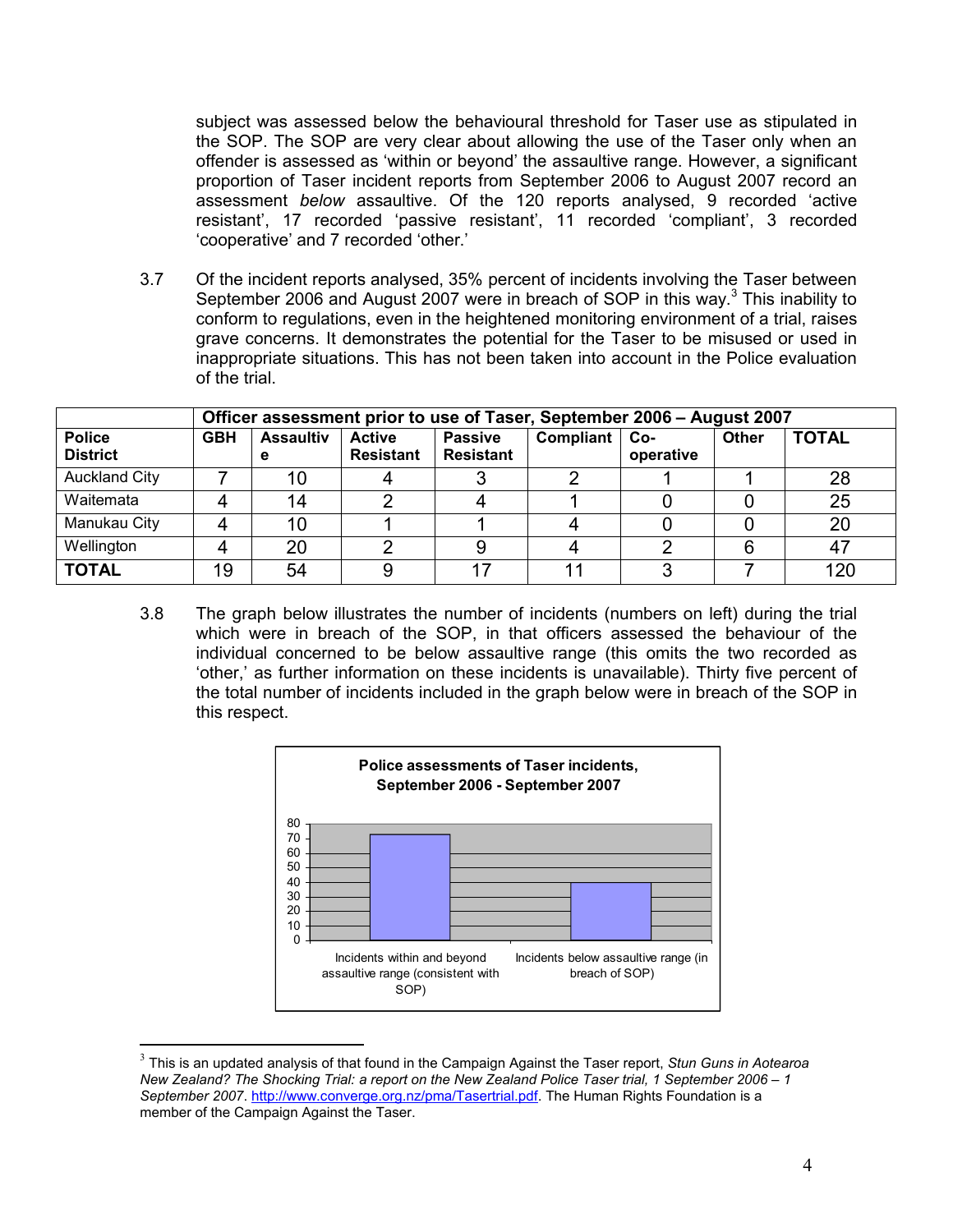subject was assessed below the behavioural threshold for Taser use as stipulated in the SOP. The SOP are very clear about allowing the use of the Taser only when an offender is assessed as 'within or beyond' the assaultive range. However, a significant proportion of Taser incident reports from September 2006 to August 2007 record an assessment *below* assaultive. Of the 120 reports analysed, 9 recorded 'active resistant', 17 recorded 'passive resistant', 11 recorded 'compliant', 3 recorded 'cooperative' and 7 recorded 'other.'

3.7 Of the incident reports analysed, 35% percent of incidents involving the Taser between September 2006 and August 2007 were in breach of SOP in this way.<sup>3</sup> This inability to conform to regulations, even in the heightened monitoring environment of a trial, raises grave concerns. It demonstrates the potential for the Taser to be misused or used in inappropriate situations. This has not been taken into account in the Police evaluation of the trial.

|                                  | Officer assessment prior to use of Taser, September 2006 – August 2007 |                       |                                   |                                    |           |                  |              |              |
|----------------------------------|------------------------------------------------------------------------|-----------------------|-----------------------------------|------------------------------------|-----------|------------------|--------------|--------------|
| <b>Police</b><br><b>District</b> | <b>GBH</b>                                                             | <b>Assaultiv</b><br>е | <b>Active</b><br><b>Resistant</b> | <b>Passive</b><br><b>Resistant</b> | Compliant | Co-<br>operative | <b>Other</b> | <b>TOTAL</b> |
| <b>Auckland City</b>             |                                                                        | 10                    |                                   |                                    |           |                  |              | 28           |
| Waitemata                        |                                                                        | 14                    |                                   |                                    |           |                  |              | 25           |
| Manukau City                     |                                                                        | 10                    |                                   |                                    |           |                  |              | 20           |
| Wellington                       |                                                                        | 20                    |                                   |                                    |           |                  | 6            | 47           |
| <b>TOTAL</b>                     | 19                                                                     | 54                    |                                   |                                    |           |                  |              | 120          |

3.8 The graph below illustrates the number of incidents (numbers on left) during the trial which were in breach of the SOP, in that officers assessed the behaviour of the individual concerned to be below assaultive range (this omits the two recorded as 'other,' as further information on these incidents is unavailable). Thirty five percent of the total number of incidents included in the graph below were in breach of the SOP in this respect.



<sup>3</sup> This is an updated analysis of that found in the Campaign Against the Taser report, *Stun Guns in Aotearoa New Zealand? The Shocking Trial: a report on the New Zealand Police Taser trial, 1 September 2006 – 1 September 2007*. http://www.converge.org.nz/pma/Tasertrial.pdf. The Human Rights Foundation is a member of the Campaign Against the Taser.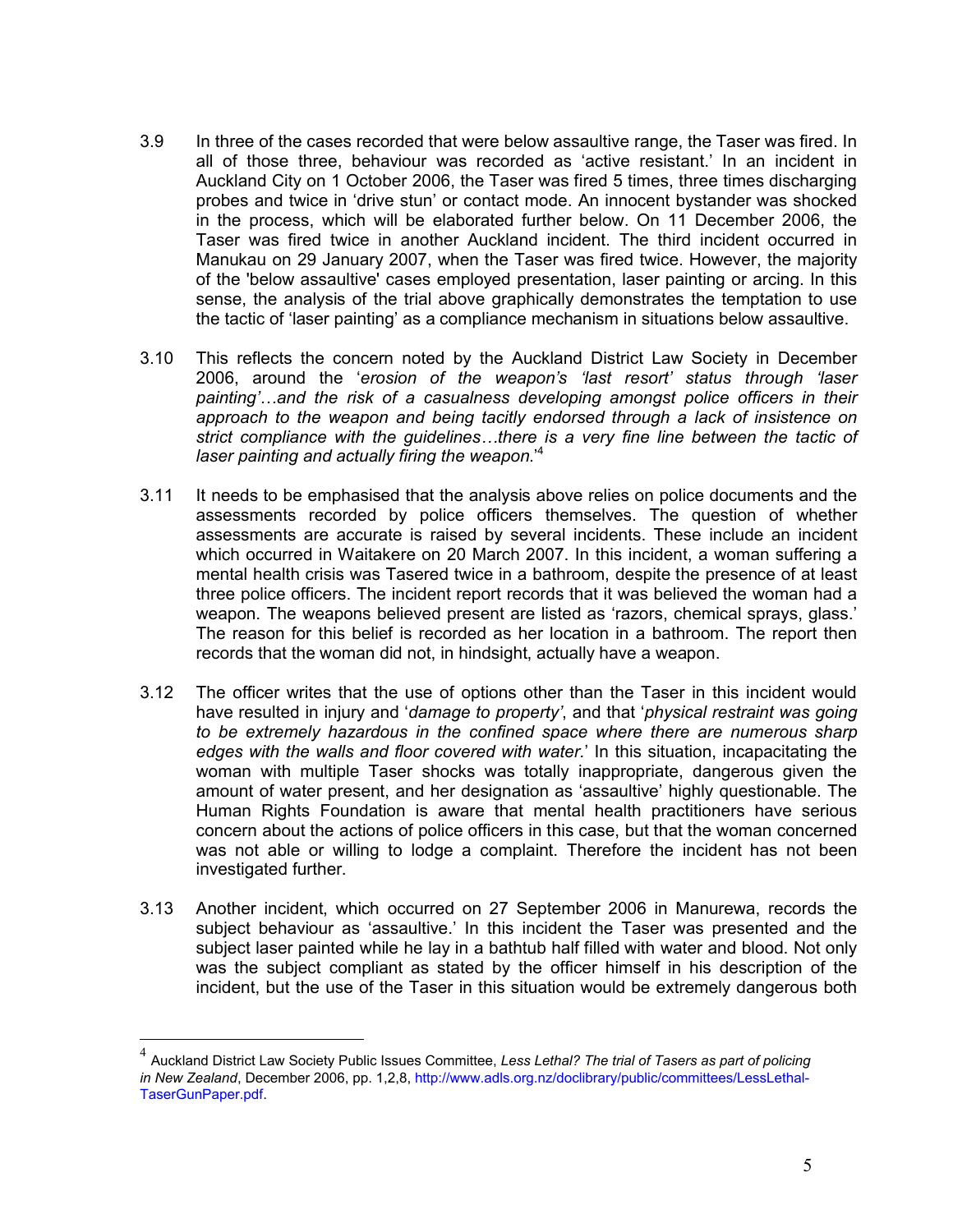- 3.9 In three of the cases recorded that were below assaultive range, the Taser was fired. In all of those three, behaviour was recorded as 'active resistant.' In an incident in Auckland City on 1 October 2006, the Taser was fired 5 times, three times discharging probes and twice in 'drive stun' or contact mode. An innocent bystander was shocked in the process, which will be elaborated further below. On 11 December 2006, the Taser was fired twice in another Auckland incident. The third incident occurred in Manukau on 29 January 2007, when the Taser was fired twice. However, the majority of the 'below assaultive' cases employed presentation, laser painting or arcing. In this sense, the analysis of the trial above graphically demonstrates the temptation to use the tactic of 'laser painting' as a compliance mechanism in situations below assaultive.
- 3.10 This reflects the concern noted by the Auckland District Law Society in December 2006, around the '*erosion of the weapon's 'last resort' status through 'laser painting'…and the risk of a casualness developing amongst police officers in their approach to the weapon and being tacitly endorsed through a lack of insistence on strict compliance with the guidelines…there is a very fine line between the tactic of laser painting and actually firing the weapon*.'4
- 3.11 It needs to be emphasised that the analysis above relies on police documents and the assessments recorded by police officers themselves. The question of whether assessments are accurate is raised by several incidents. These include an incident which occurred in Waitakere on 20 March 2007. In this incident, a woman suffering a mental health crisis was Tasered twice in a bathroom, despite the presence of at least three police officers. The incident report records that it was believed the woman had a weapon. The weapons believed present are listed as 'razors, chemical sprays, glass.' The reason for this belief is recorded as her location in a bathroom. The report then records that the woman did not, in hindsight, actually have a weapon.
- 3.12 The officer writes that the use of options other than the Taser in this incident would have resulted in injury and '*damage to property'*, and that '*physical restraint was going to be extremely hazardous in the confined space where there are numerous sharp edges with the walls and floor covered with water.*' In this situation, incapacitating the woman with multiple Taser shocks was totally inappropriate, dangerous given the amount of water present, and her designation as 'assaultive' highly questionable. The Human Rights Foundation is aware that mental health practitioners have serious concern about the actions of police officers in this case, but that the woman concerned was not able or willing to lodge a complaint. Therefore the incident has not been investigated further.
- 3.13 Another incident, which occurred on 27 September 2006 in Manurewa, records the subject behaviour as 'assaultive.' In this incident the Taser was presented and the subject laser painted while he lay in a bathtub half filled with water and blood. Not only was the subject compliant as stated by the officer himself in his description of the incident, but the use of the Taser in this situation would be extremely dangerous both

<sup>4</sup> Auckland District Law Society Public Issues Committee, *Less Lethal? The trial of Tasers as part of policing in New Zealand*, December 2006, pp. 1,2,8, http://www.adls.org.nz/doclibrary/public/committees/LessLethal-TaserGunPaper.pdf.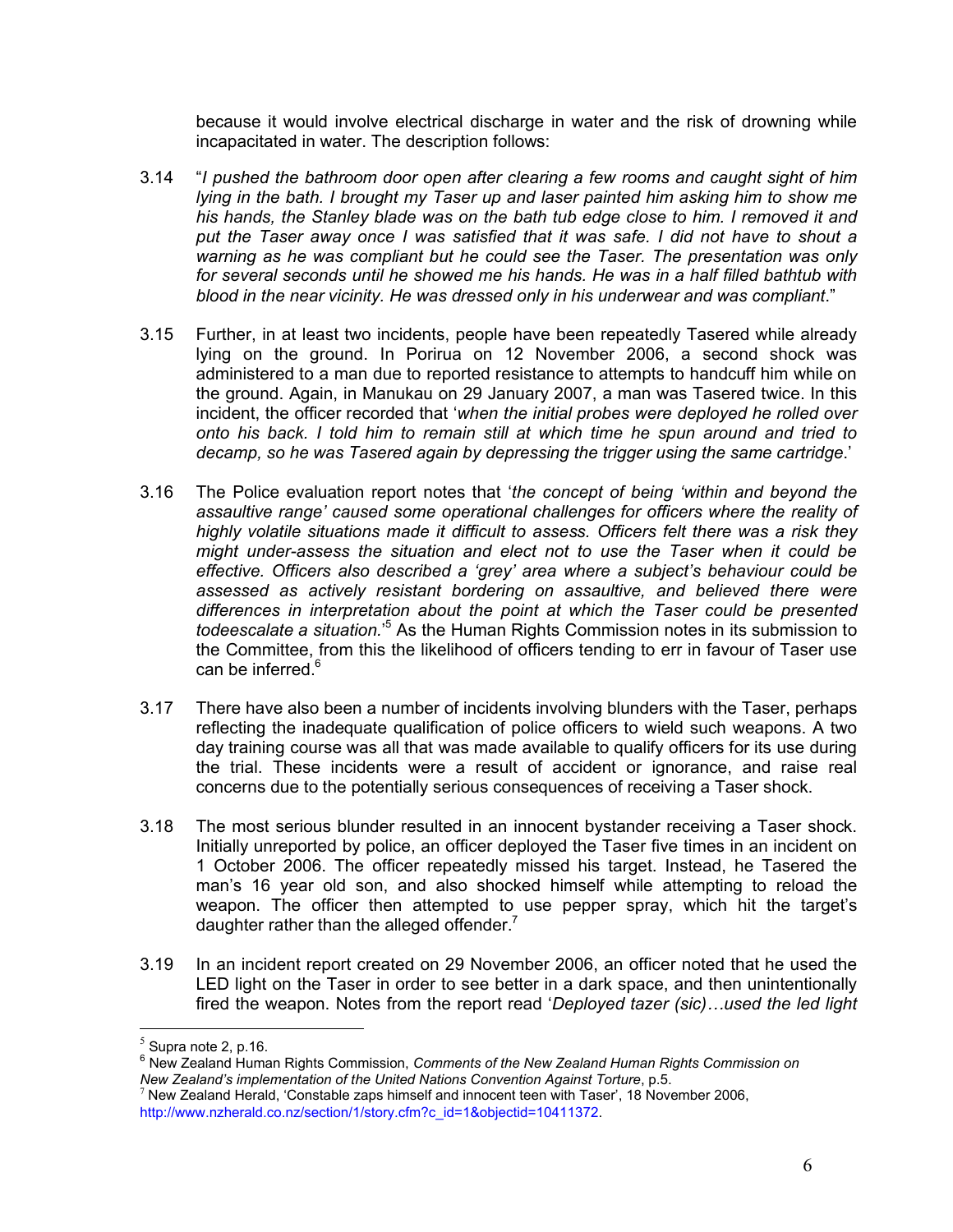because it would involve electrical discharge in water and the risk of drowning while incapacitated in water. The description follows:

- 3.14 "*I pushed the bathroom door open after clearing a few rooms and caught sight of him lying in the bath. I brought my Taser up and laser painted him asking him to show me his hands, the Stanley blade was on the bath tub edge close to him. I removed it and put the Taser away once I was satisfied that it was safe. I did not have to shout a warning as he was compliant but he could see the Taser. The presentation was only for several seconds until he showed me his hands. He was in a half filled bathtub with blood in the near vicinity. He was dressed only in his underwear and was compliant*."
- 3.15 Further, in at least two incidents, people have been repeatedly Tasered while already lying on the ground. In Porirua on 12 November 2006, a second shock was administered to a man due to reported resistance to attempts to handcuff him while on the ground. Again, in Manukau on 29 January 2007, a man was Tasered twice. In this incident, the officer recorded that '*when the initial probes were deployed he rolled over onto his back. I told him to remain still at which time he spun around and tried to decamp, so he was Tasered again by depressing the trigger using the same cartridge*.'
- 3.16 The Police evaluation report notes that '*the concept of being 'within and beyond the assaultive range' caused some operational challenges for officers where the reality of highly volatile situations made it difficult to assess. Officers felt there was a risk they might under-assess the situation and elect not to use the Taser when it could be effective. Officers also described a 'grey' area where a subject's behaviour could be assessed as actively resistant bordering on assaultive, and believed there were differences in interpretation about the point at which the Taser could be presented todeescalate a situation.*' <sup>5</sup> As the Human Rights Commission notes in its submission to the Committee, from this the likelihood of officers tending to err in favour of Taser use can be inferred.<sup>6</sup>
- 3.17 There have also been a number of incidents involving blunders with the Taser, perhaps reflecting the inadequate qualification of police officers to wield such weapons. A two day training course was all that was made available to qualify officers for its use during the trial. These incidents were a result of accident or ignorance, and raise real concerns due to the potentially serious consequences of receiving a Taser shock.
- 3.18 The most serious blunder resulted in an innocent bystander receiving a Taser shock. Initially unreported by police, an officer deployed the Taser five times in an incident on 1 October 2006. The officer repeatedly missed his target. Instead, he Tasered the man's 16 year old son, and also shocked himself while attempting to reload the weapon. The officer then attempted to use pepper spray, which hit the target's daughter rather than the alleged offender. $<sup>7</sup>$ </sup>
- 3.19 In an incident report created on 29 November 2006, an officer noted that he used the LED light on the Taser in order to see better in a dark space, and then unintentionally fired the weapon. Notes from the report read '*Deployed tazer (sic)…used the led light*

 $<sup>5</sup>$  Supra note 2, p.16.</sup>

<sup>&</sup>lt;sup>6</sup> New Zealand Human Rights Commission, *Comments of the New Zealand Human Rights Commission on*<br>New Zealand's implementation of the United Nations Convention Against Torture, p.5.

<sup>&</sup>lt;sup>7</sup> New Zealand Herald, 'Constable zaps himself and innocent teen with Taser', 18 November 2006, http://www.nzherald.co.nz/section/1/story.cfm?c\_id=1&objectid=10411372.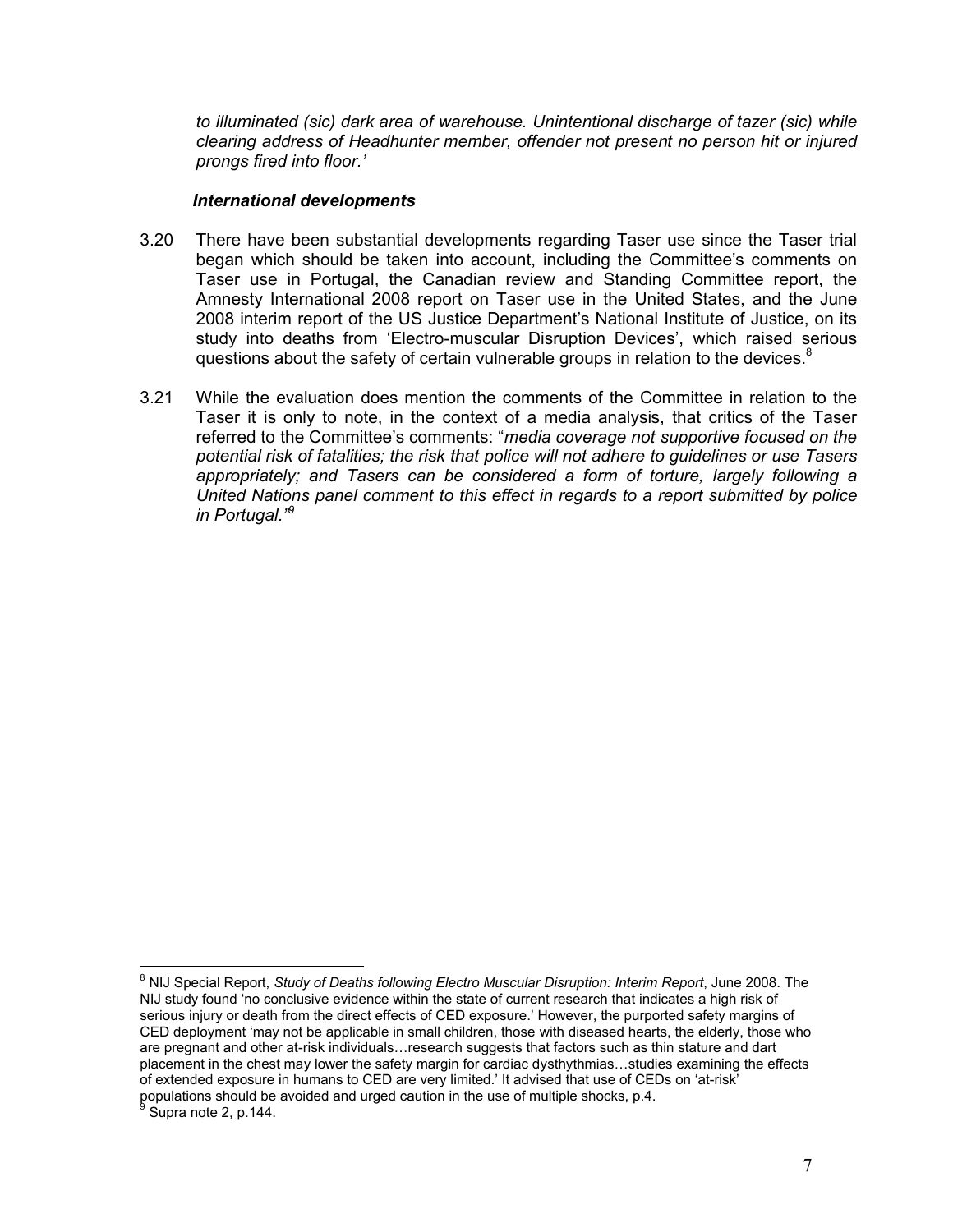*to illuminated (sic) dark area of warehouse. Unintentional discharge of tazer (sic) while clearing address of Headhunter member, offender not present no person hit or injured prongs fired into floor.'*

#### *International developments*

- 3.20 There have been substantial developments regarding Taser use since the Taser trial began which should be taken into account, including the Committee's comments on Taser use in Portugal, the Canadian review and Standing Committee report, the Amnesty International 2008 report on Taser use in the United States, and the June 2008 interim report of the US Justice Department's National Institute of Justice, on its study into deaths from 'Electro-muscular Disruption Devices', which raised serious questions about the safety of certain vulnerable groups in relation to the devices. $8$
- 3.21 While the evaluation does mention the comments of the Committee in relation to the Taser it is only to note, in the context of a media analysis, that critics of the Taser referred to the Committee's comments: "*media coverage not supportive focused on the potential risk of fatalities; the risk that police will not adhere to guidelines or use Tasers appropriately; and Tasers can be considered a form of torture, largely following a United Nations panel comment to this effect in regards to a report submitted by police in Portugal."9*

<sup>8</sup> NIJ Special Report, *Study of Deaths following Electro Muscular Disruption: Interim Report*, June 2008. The NIJ study found 'no conclusive evidence within the state of current research that indicates a high risk of serious injury or death from the direct effects of CED exposure.' However, the purported safety margins of CED deployment 'may not be applicable in small children, those with diseased hearts, the elderly, those who are pregnant and other at-risk individuals…research suggests that factors such as thin stature and dart placement in the chest may lower the safety margin for cardiac dysthythmias…studies examining the effects of extended exposure in humans to CED are very limited.' It advised that use of CEDs on 'at-risk' populations should be avoided and urged caution in the use of multiple shocks, p.4. Supra note 2, p.144.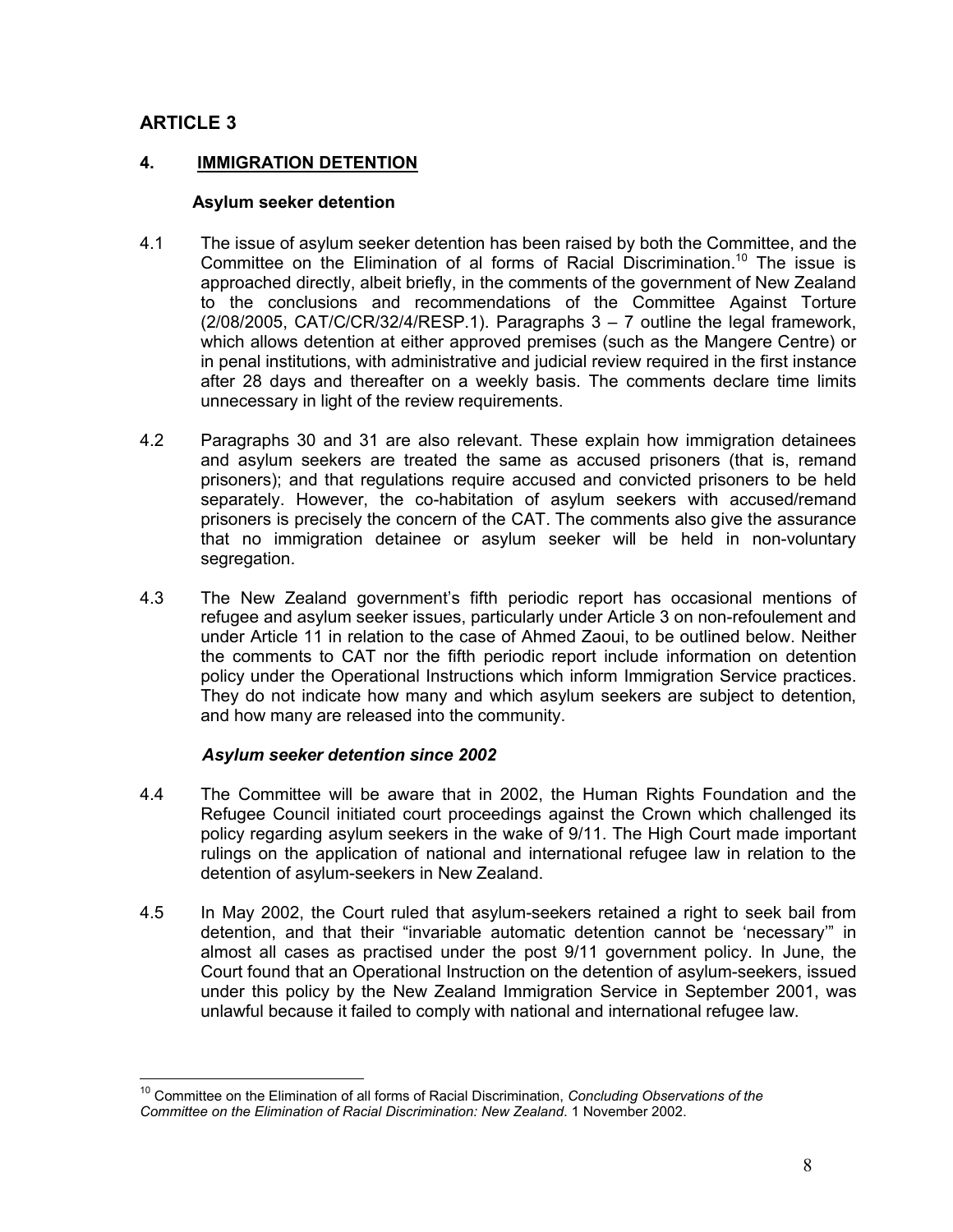# **ARTICLE 3**

#### **4. IMMIGRATION DETENTION**

#### **Asylum seeker detention**

- 4.1 The issue of asylum seeker detention has been raised by both the Committee, and the Committee on the Elimination of al forms of Racial Discrimination.<sup>10</sup> The issue is approached directly, albeit briefly, in the comments of the government of New Zealand to the conclusions and recommendations of the Committee Against Torture  $(2/08/2005, \text{CAT/C/CR/32/4/RESP.1}).$  Paragraphs  $3 - 7$  outline the legal framework, which allows detention at either approved premises (such as the Mangere Centre) or in penal institutions, with administrative and judicial review required in the first instance after 28 days and thereafter on a weekly basis. The comments declare time limits unnecessary in light of the review requirements.
- 4.2 Paragraphs 30 and 31 are also relevant. These explain how immigration detainees and asylum seekers are treated the same as accused prisoners (that is, remand prisoners); and that regulations require accused and convicted prisoners to be held separately. However, the co-habitation of asylum seekers with accused/remand prisoners is precisely the concern of the CAT. The comments also give the assurance that no immigration detainee or asylum seeker will be held in non-voluntary segregation.
- 4.3 The New Zealand government's fifth periodic report has occasional mentions of refugee and asylum seeker issues, particularly under Article 3 on non-refoulement and under Article 11 in relation to the case of Ahmed Zaoui, to be outlined below. Neither the comments to CAT nor the fifth periodic report include information on detention policy under the Operational Instructions which inform Immigration Service practices. They do not indicate how many and which asylum seekers are subject to detention, and how many are released into the community.

#### *Asylum seeker detention since 2002*

- 4.4 The Committee will be aware that in 2002, the Human Rights Foundation and the Refugee Council initiated court proceedings against the Crown which challenged its policy regarding asylum seekers in the wake of 9/11. The High Court made important rulings on the application of national and international refugee law in relation to the detention of asylum-seekers in New Zealand.
- 4.5 In May 2002, the Court ruled that asylum-seekers retained a right to seek bail from detention, and that their "invariable automatic detention cannot be 'necessary'" in almost all cases as practised under the post 9/11 government policy. In June, the Court found that an Operational Instruction on the detention of asylum-seekers, issued under this policy by the New Zealand Immigration Service in September 2001, was unlawful because it failed to comply with national and international refugee law.

 $\overline{a}$ <sup>10</sup> Committee on the Elimination of all forms of Racial Discrimination, *Concluding Observations of the Committee on the Elimination of Racial Discrimination: New Zealand*. 1 November 2002.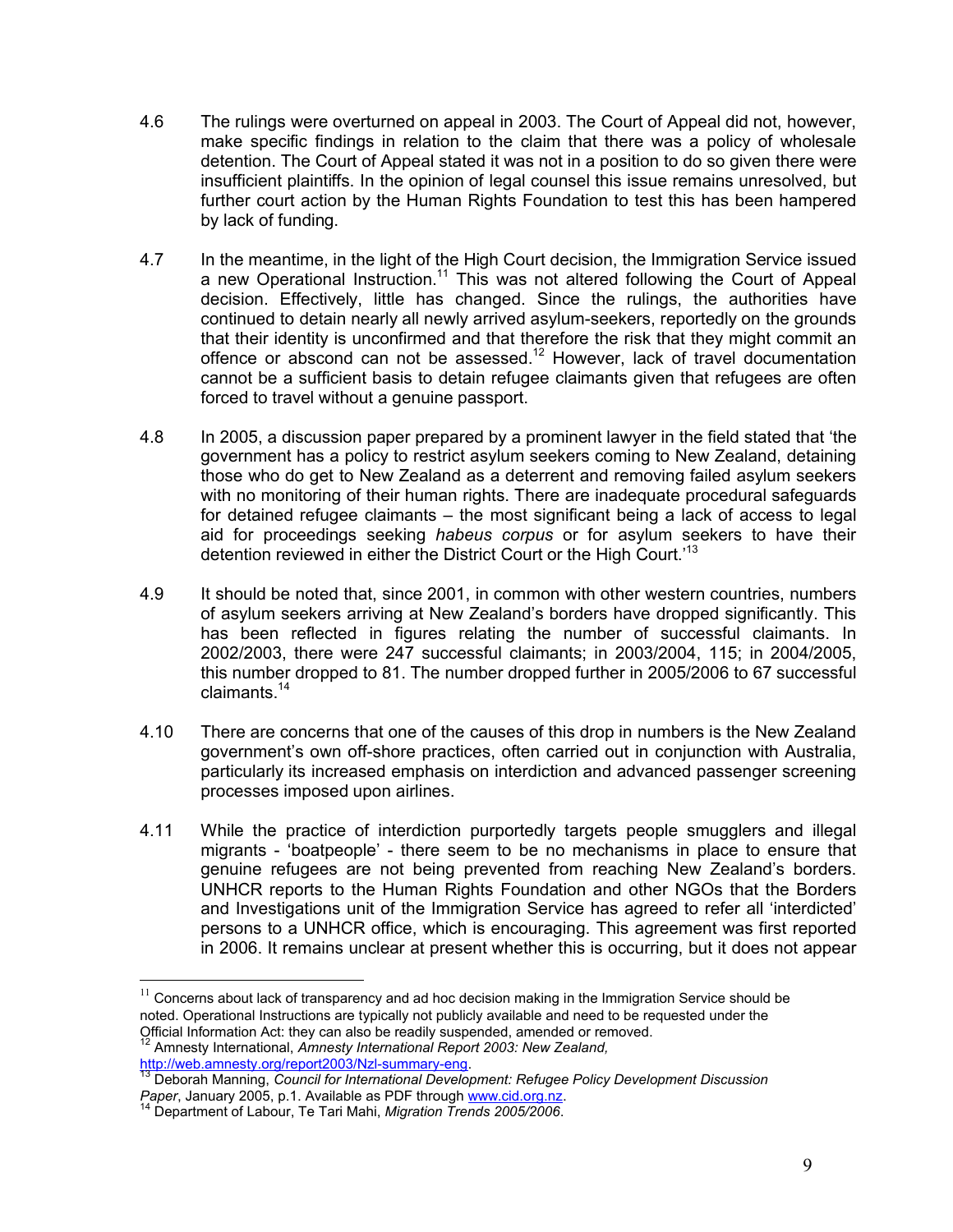- 4.6 The rulings were overturned on appeal in 2003. The Court of Appeal did not, however, make specific findings in relation to the claim that there was a policy of wholesale detention. The Court of Appeal stated it was not in a position to do so given there were insufficient plaintiffs. In the opinion of legal counsel this issue remains unresolved, but further court action by the Human Rights Foundation to test this has been hampered by lack of funding.
- 4.7 In the meantime, in the light of the High Court decision, the Immigration Service issued a new Operational Instruction.<sup>11</sup> This was not altered following the Court of Appeal decision. Effectively, little has changed. Since the rulings, the authorities have continued to detain nearly all newly arrived asylum-seekers, reportedly on the grounds that their identity is unconfirmed and that therefore the risk that they might commit an offence or abscond can not be assessed.<sup>12</sup> However, lack of travel documentation cannot be a sufficient basis to detain refugee claimants given that refugees are often forced to travel without a genuine passport.
- 4.8 In 2005, a discussion paper prepared by a prominent lawyer in the field stated that 'the government has a policy to restrict asylum seekers coming to New Zealand, detaining those who do get to New Zealand as a deterrent and removing failed asylum seekers with no monitoring of their human rights. There are inadequate procedural safeguards for detained refugee claimants – the most significant being a lack of access to legal aid for proceedings seeking *habeus corpus* or for asylum seekers to have their detention reviewed in either the District Court or the High Court.<sup>13</sup>
- 4.9 It should be noted that, since 2001, in common with other western countries, numbers of asylum seekers arriving at New Zealand's borders have dropped significantly. This has been reflected in figures relating the number of successful claimants. In 2002/2003, there were 247 successful claimants; in 2003/2004, 115; in 2004/2005, this number dropped to 81. The number dropped further in 2005/2006 to 67 successful claimants.14
- 4.10 There are concerns that one of the causes of this drop in numbers is the New Zealand government's own off-shore practices, often carried out in conjunction with Australia, particularly its increased emphasis on interdiction and advanced passenger screening processes imposed upon airlines.
- 4.11 While the practice of interdiction purportedly targets people smugglers and illegal migrants - 'boatpeople' - there seem to be no mechanisms in place to ensure that genuine refugees are not being prevented from reaching New Zealand's borders. UNHCR reports to the Human Rights Foundation and other NGOs that the Borders and Investigations unit of the Immigration Service has agreed to refer all 'interdicted' persons to a UNHCR office, which is encouraging. This agreement was first reported in 2006. It remains unclear at present whether this is occurring, but it does not appear

```
12 Amnesty International, Amnesty International Report 2003: New Zealand,
http://web.amnesty.org/report2003/Nzl-summary-eng.<br>http://web.amnesty.org/report2003/Nzl-summary-eng.<br><sup>13</sup> Deborah Manning, Council for International Development: Refugee Policy Development Discussion
```
*Paper*, January 2005, p.1. Available as PDF through www.cid.org.nz. 14 Department of Labour, Te Tari Mahi, *Migration Trends 2005/2006*.

 $11$  Concerns about lack of transparency and ad hoc decision making in the Immigration Service should be noted. Operational Instructions are typically not publicly available and need to be requested under the Official Information Act: they can also be readily suspended, amended or removed.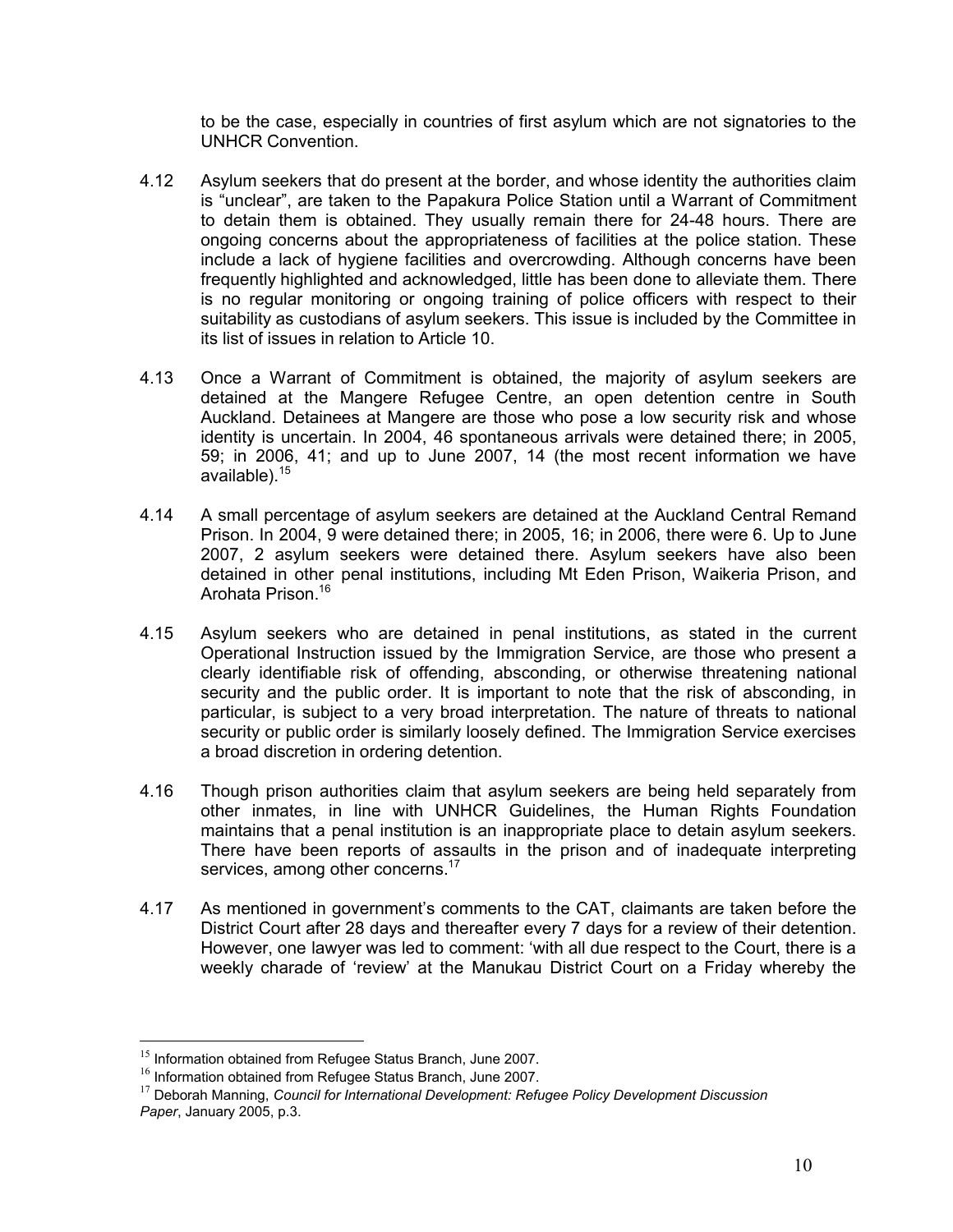to be the case, especially in countries of first asylum which are not signatories to the UNHCR Convention.

- 4.12 Asylum seekers that do present at the border, and whose identity the authorities claim is "unclear", are taken to the Papakura Police Station until a Warrant of Commitment to detain them is obtained. They usually remain there for 24-48 hours. There are ongoing concerns about the appropriateness of facilities at the police station. These include a lack of hygiene facilities and overcrowding. Although concerns have been frequently highlighted and acknowledged, little has been done to alleviate them. There is no regular monitoring or ongoing training of police officers with respect to their suitability as custodians of asylum seekers. This issue is included by the Committee in its list of issues in relation to Article 10.
- 4.13 Once a Warrant of Commitment is obtained, the majority of asylum seekers are detained at the Mangere Refugee Centre, an open detention centre in South Auckland. Detainees at Mangere are those who pose a low security risk and whose identity is uncertain. In 2004, 46 spontaneous arrivals were detained there; in 2005, 59; in 2006, 41; and up to June 2007, 14 (the most recent information we have available).<sup>15</sup>
- 4.14 A small percentage of asylum seekers are detained at the Auckland Central Remand Prison. In 2004, 9 were detained there; in 2005, 16; in 2006, there were 6. Up to June 2007, 2 asylum seekers were detained there. Asylum seekers have also been detained in other penal institutions, including Mt Eden Prison, Waikeria Prison, and Arohata Prison.<sup>16</sup>
- 4.15 Asylum seekers who are detained in penal institutions, as stated in the current Operational Instruction issued by the Immigration Service, are those who present a clearly identifiable risk of offending, absconding, or otherwise threatening national security and the public order. It is important to note that the risk of absconding, in particular, is subject to a very broad interpretation. The nature of threats to national security or public order is similarly loosely defined. The Immigration Service exercises a broad discretion in ordering detention.
- 4.16 Though prison authorities claim that asylum seekers are being held separately from other inmates, in line with UNHCR Guidelines, the Human Rights Foundation maintains that a penal institution is an inappropriate place to detain asylum seekers. There have been reports of assaults in the prison and of inadequate interpreting services, among other concerns.<sup>17</sup>
- 4.17 As mentioned in government's comments to the CAT, claimants are taken before the District Court after 28 days and thereafter every 7 days for a review of their detention. However, one lawyer was led to comment: 'with all due respect to the Court, there is a weekly charade of 'review' at the Manukau District Court on a Friday whereby the

<sup>&</sup>lt;sup>15</sup> Information obtained from Refugee Status Branch, June 2007.

 $16$  Information obtained from Refugee Status Branch, June 2007.

<sup>17</sup> Deborah Manning, *Council for International Development: Refugee Policy Development Discussion Paper*, January 2005, p.3.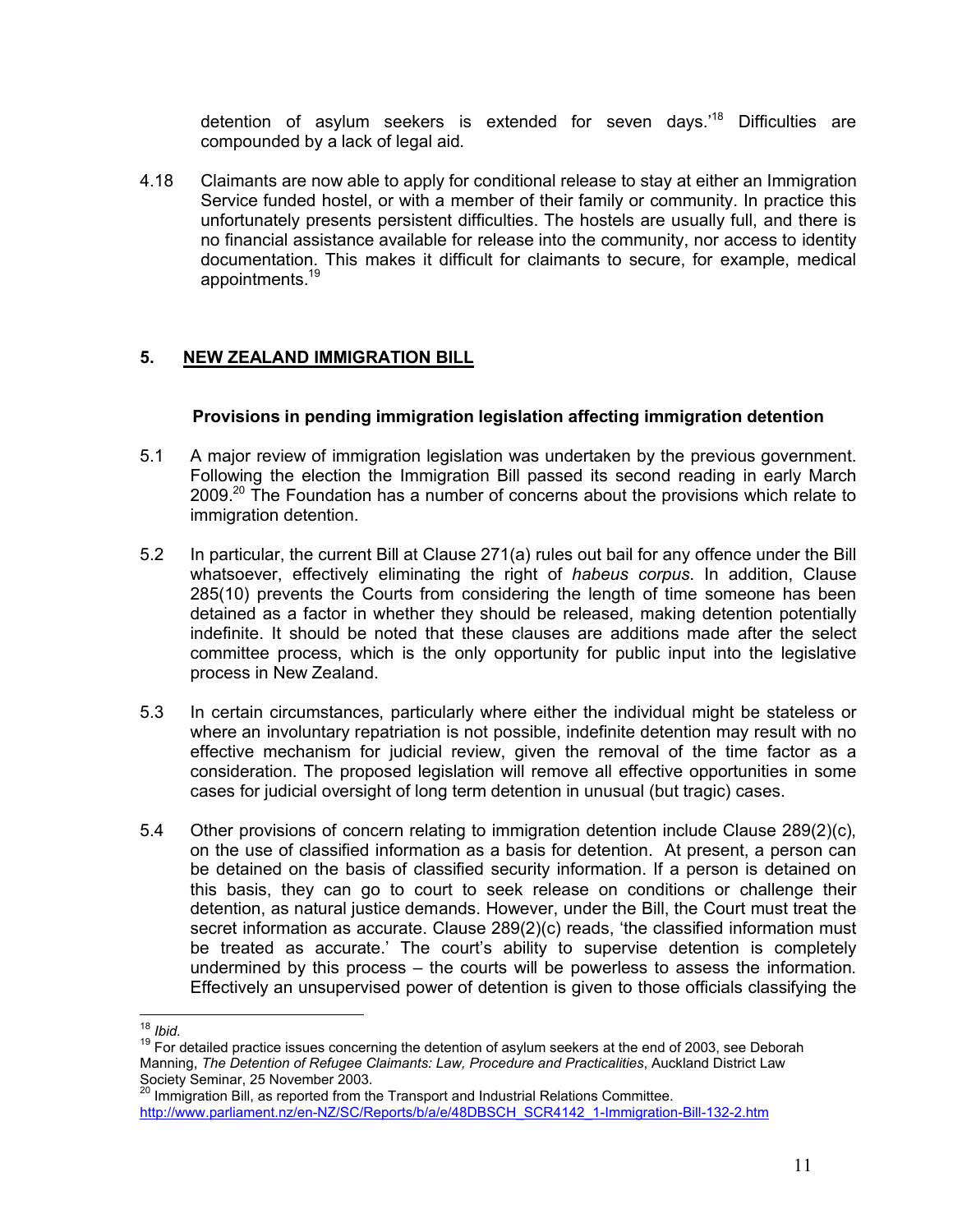detention of asylum seekers is extended for seven days.<sup>18</sup> Difficulties are compounded by a lack of legal aid.

4.18 Claimants are now able to apply for conditional release to stay at either an Immigration Service funded hostel, or with a member of their family or community. In practice this unfortunately presents persistent difficulties. The hostels are usually full, and there is no financial assistance available for release into the community, nor access to identity documentation. This makes it difficult for claimants to secure, for example, medical appointments.19

## **5. NEW ZEALAND IMMIGRATION BILL**

#### **Provisions in pending immigration legislation affecting immigration detention**

- 5.1 A major review of immigration legislation was undertaken by the previous government. Following the election the Immigration Bill passed its second reading in early March  $2009<sup>20</sup>$  The Foundation has a number of concerns about the provisions which relate to immigration detention.
- 5.2 In particular, the current Bill at Clause 271(a) rules out bail for any offence under the Bill whatsoever, effectively eliminating the right of *habeus corpus*. In addition, Clause 285(10) prevents the Courts from considering the length of time someone has been detained as a factor in whether they should be released, making detention potentially indefinite. It should be noted that these clauses are additions made after the select committee process, which is the only opportunity for public input into the legislative process in New Zealand.
- 5.3 In certain circumstances, particularly where either the individual might be stateless or where an involuntary repatriation is not possible, indefinite detention may result with no effective mechanism for judicial review, given the removal of the time factor as a consideration. The proposed legislation will remove all effective opportunities in some cases for judicial oversight of long term detention in unusual (but tragic) cases.
- 5.4 Other provisions of concern relating to immigration detention include Clause 289(2)(c), on the use of classified information as a basis for detention. At present, a person can be detained on the basis of classified security information. If a person is detained on this basis, they can go to court to seek release on conditions or challenge their detention, as natural justice demands. However, under the Bill, the Court must treat the secret information as accurate. Clause 289(2)(c) reads, 'the classified information must be treated as accurate.' The court's ability to supervise detention is completely undermined by this process – the courts will be powerless to assess the information. Effectively an unsupervised power of detention is given to those officials classifying the

 $18$  Ibid.

<sup>&</sup>lt;sup>19</sup> For detailed practice issues concerning the detention of asylum seekers at the end of 2003, see Deborah Manning, *The Detention of Refugee Claimants: Law, Procedure and Practicalities*, Auckland District Law Society Seminar, 25 November 2003.

<sup>&</sup>lt;sup>20</sup> Immigration Bill, as reported from the Transport and Industrial Relations Committee. http://www.parliament.nz/en-NZ/SC/Reports/b/a/e/48DBSCH\_SCR4142\_1-Immigration-Bill-132-2.htm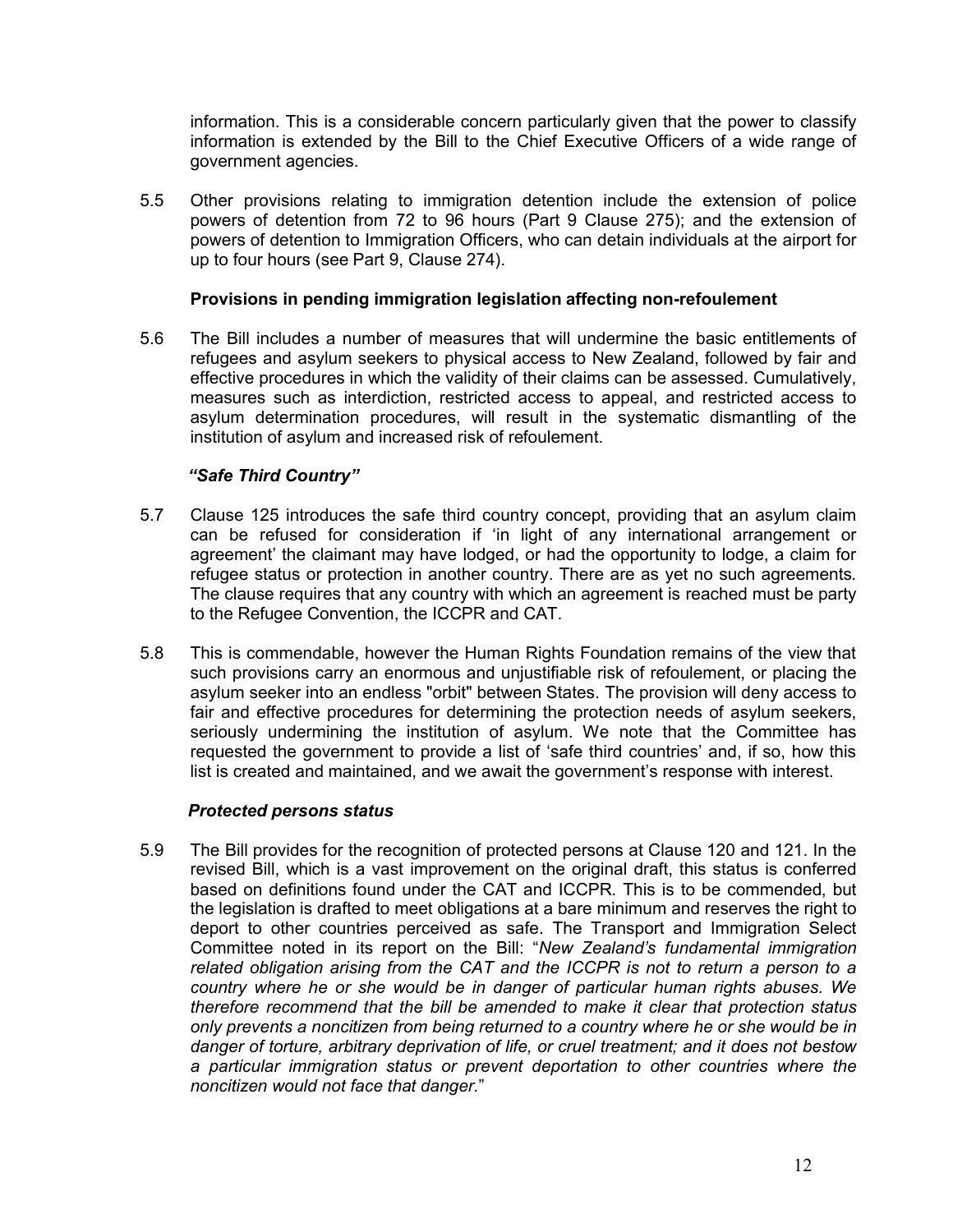information. This is a considerable concern particularly given that the power to classify information is extended by the Bill to the Chief Executive Officers of a wide range of government agencies.

5.5 Other provisions relating to immigration detention include the extension of police powers of detention from 72 to 96 hours (Part 9 Clause 275); and the extension of powers of detention to Immigration Officers, who can detain individuals at the airport for up to four hours (see Part 9, Clause 274).

#### **Provisions in pending immigration legislation affecting non-refoulement**

5.6 The Bill includes a number of measures that will undermine the basic entitlements of refugees and asylum seekers to physical access to New Zealand, followed by fair and effective procedures in which the validity of their claims can be assessed. Cumulatively, measures such as interdiction, restricted access to appeal, and restricted access to asylum determination procedures, will result in the systematic dismantling of the institution of asylum and increased risk of refoulement.

### *"Safe Third Country"*

- 5.7 Clause 125 introduces the safe third country concept, providing that an asylum claim can be refused for consideration if 'in light of any international arrangement or agreement' the claimant may have lodged, or had the opportunity to lodge, a claim for refugee status or protection in another country. There are as yet no such agreements. The clause requires that any country with which an agreement is reached must be party to the Refugee Convention, the ICCPR and CAT.
- 5.8 This is commendable, however the Human Rights Foundation remains of the view that such provisions carry an enormous and unjustifiable risk of refoulement, or placing the asylum seeker into an endless "orbit" between States. The provision will deny access to fair and effective procedures for determining the protection needs of asylum seekers, seriously undermining the institution of asylum. We note that the Committee has requested the government to provide a list of 'safe third countries' and, if so, how this list is created and maintained, and we await the government's response with interest.

#### *Protected persons status*

5.9 The Bill provides for the recognition of protected persons at Clause 120 and 121. In the revised Bill, which is a vast improvement on the original draft, this status is conferred based on definitions found under the CAT and ICCPR. This is to be commended, but the legislation is drafted to meet obligations at a bare minimum and reserves the right to deport to other countries perceived as safe. The Transport and Immigration Select Committee noted in its report on the Bill: "*New Zealand's fundamental immigration related obligation arising from the CAT and the ICCPR is not to return a person to a country where he or she would be in danger of particular human rights abuses. We therefore recommend that the bill be amended to make it clear that protection status only prevents a noncitizen from being returned to a country where he or she would be in danger of torture, arbitrary deprivation of life, or cruel treatment; and it does not bestow a particular immigration status or prevent deportation to other countries where the noncitizen would not face that danger.*"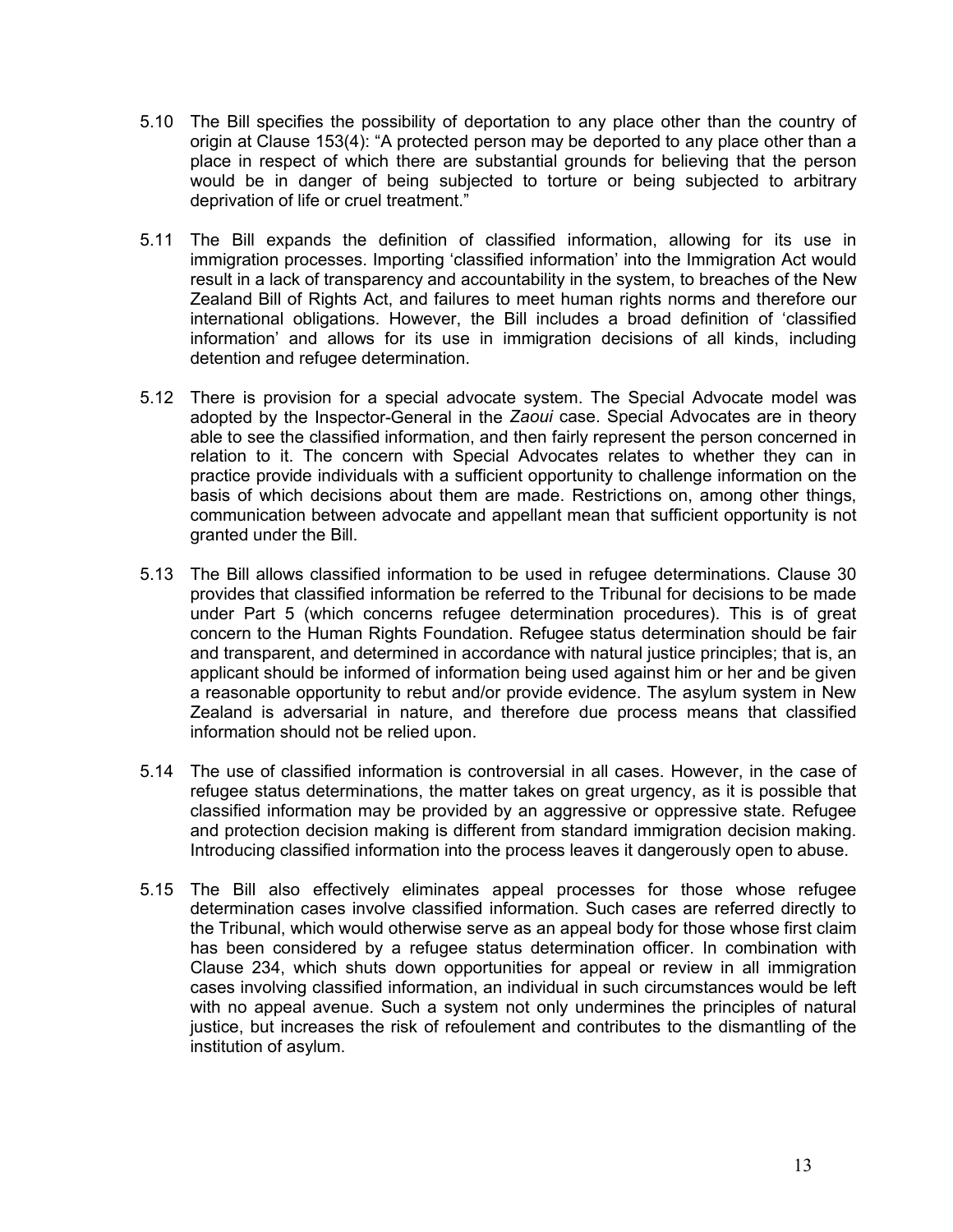- 5.10 The Bill specifies the possibility of deportation to any place other than the country of origin at Clause 153(4): "A protected person may be deported to any place other than a place in respect of which there are substantial grounds for believing that the person would be in danger of being subjected to torture or being subjected to arbitrary deprivation of life or cruel treatment."
- 5.11 The Bill expands the definition of classified information, allowing for its use in immigration processes. Importing 'classified information' into the Immigration Act would result in a lack of transparency and accountability in the system, to breaches of the New Zealand Bill of Rights Act, and failures to meet human rights norms and therefore our international obligations. However, the Bill includes a broad definition of 'classified information' and allows for its use in immigration decisions of all kinds, including detention and refugee determination.
- 5.12 There is provision for a special advocate system. The Special Advocate model was adopted by the Inspector-General in the *Zaoui* case. Special Advocates are in theory able to see the classified information, and then fairly represent the person concerned in relation to it. The concern with Special Advocates relates to whether they can in practice provide individuals with a sufficient opportunity to challenge information on the basis of which decisions about them are made. Restrictions on, among other things, communication between advocate and appellant mean that sufficient opportunity is not granted under the Bill.
- 5.13 The Bill allows classified information to be used in refugee determinations. Clause 30 provides that classified information be referred to the Tribunal for decisions to be made under Part 5 (which concerns refugee determination procedures). This is of great concern to the Human Rights Foundation. Refugee status determination should be fair and transparent, and determined in accordance with natural justice principles; that is, an applicant should be informed of information being used against him or her and be given a reasonable opportunity to rebut and/or provide evidence. The asylum system in New Zealand is adversarial in nature, and therefore due process means that classified information should not be relied upon.
- 5.14 The use of classified information is controversial in all cases. However, in the case of refugee status determinations, the matter takes on great urgency, as it is possible that classified information may be provided by an aggressive or oppressive state. Refugee and protection decision making is different from standard immigration decision making. Introducing classified information into the process leaves it dangerously open to abuse.
- 5.15 The Bill also effectively eliminates appeal processes for those whose refugee determination cases involve classified information. Such cases are referred directly to the Tribunal, which would otherwise serve as an appeal body for those whose first claim has been considered by a refugee status determination officer. In combination with Clause 234, which shuts down opportunities for appeal or review in all immigration cases involving classified information, an individual in such circumstances would be left with no appeal avenue. Such a system not only undermines the principles of natural justice, but increases the risk of refoulement and contributes to the dismantling of the institution of asylum.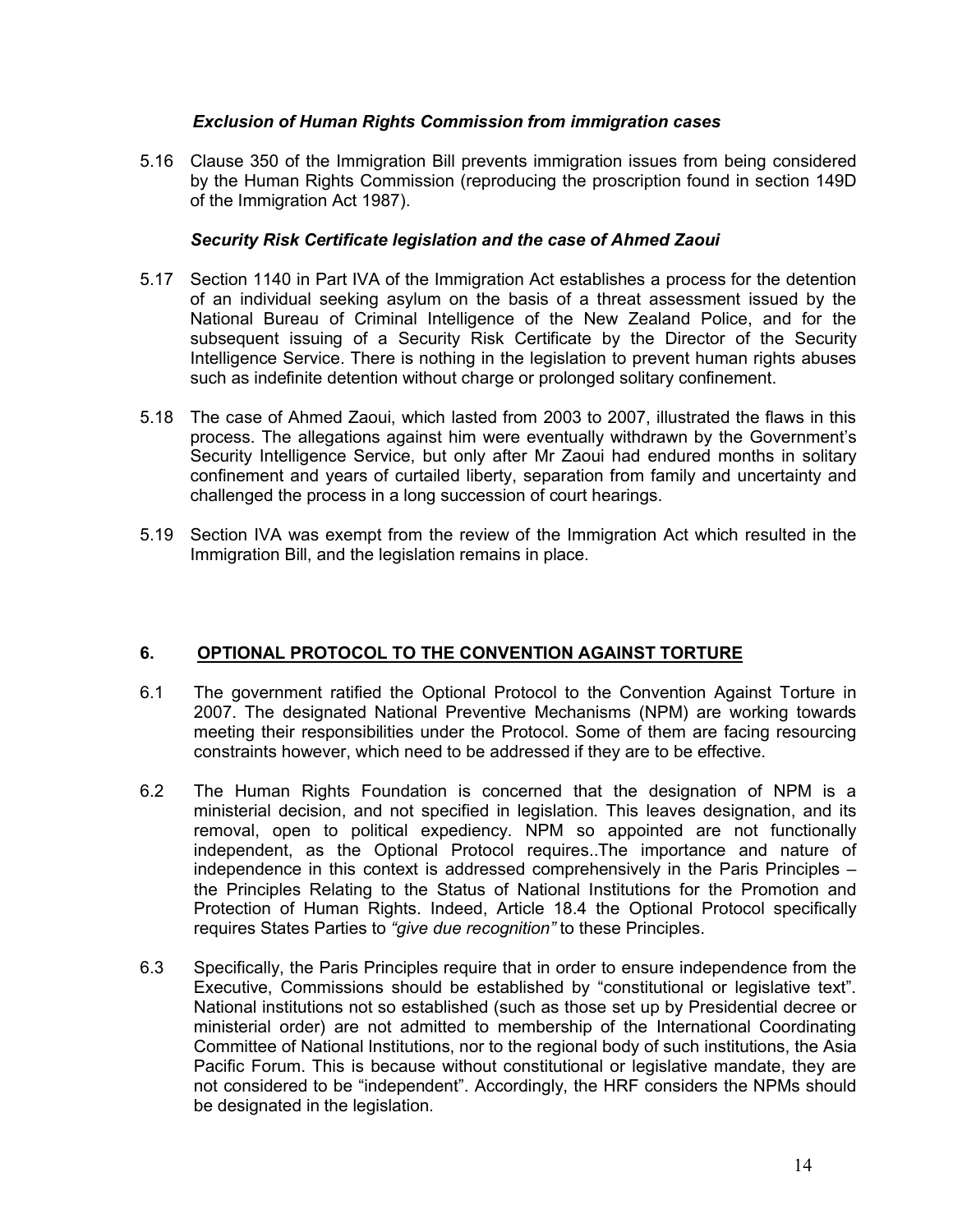#### *Exclusion of Human Rights Commission from immigration cases*

5.16 Clause 350 of the Immigration Bill prevents immigration issues from being considered by the Human Rights Commission (reproducing the proscription found in section 149D of the Immigration Act 1987).

#### *Security Risk Certificate legislation and the case of Ahmed Zaoui*

- 5.17 Section 1140 in Part IVA of the Immigration Act establishes a process for the detention of an individual seeking asylum on the basis of a threat assessment issued by the National Bureau of Criminal Intelligence of the New Zealand Police, and for the subsequent issuing of a Security Risk Certificate by the Director of the Security Intelligence Service. There is nothing in the legislation to prevent human rights abuses such as indefinite detention without charge or prolonged solitary confinement.
- 5.18 The case of Ahmed Zaoui, which lasted from 2003 to 2007, illustrated the flaws in this process. The allegations against him were eventually withdrawn by the Government's Security Intelligence Service, but only after Mr Zaoui had endured months in solitary confinement and years of curtailed liberty, separation from family and uncertainty and challenged the process in a long succession of court hearings.
- 5.19 Section IVA was exempt from the review of the Immigration Act which resulted in the Immigration Bill, and the legislation remains in place.

#### **6. OPTIONAL PROTOCOL TO THE CONVENTION AGAINST TORTURE**

- 6.1 The government ratified the Optional Protocol to the Convention Against Torture in 2007. The designated National Preventive Mechanisms (NPM) are working towards meeting their responsibilities under the Protocol. Some of them are facing resourcing constraints however, which need to be addressed if they are to be effective.
- 6.2 The Human Rights Foundation is concerned that the designation of NPM is a ministerial decision, and not specified in legislation. This leaves designation, and its removal, open to political expediency. NPM so appointed are not functionally independent, as the Optional Protocol requires..The importance and nature of independence in this context is addressed comprehensively in the Paris Principles – the Principles Relating to the Status of National Institutions for the Promotion and Protection of Human Rights. Indeed, Article 18.4 the Optional Protocol specifically requires States Parties to *"give due recognition"* to these Principles.
- 6.3 Specifically, the Paris Principles require that in order to ensure independence from the Executive, Commissions should be established by "constitutional or legislative text". National institutions not so established (such as those set up by Presidential decree or ministerial order) are not admitted to membership of the International Coordinating Committee of National Institutions, nor to the regional body of such institutions, the Asia Pacific Forum. This is because without constitutional or legislative mandate, they are not considered to be "independent". Accordingly, the HRF considers the NPMs should be designated in the legislation.